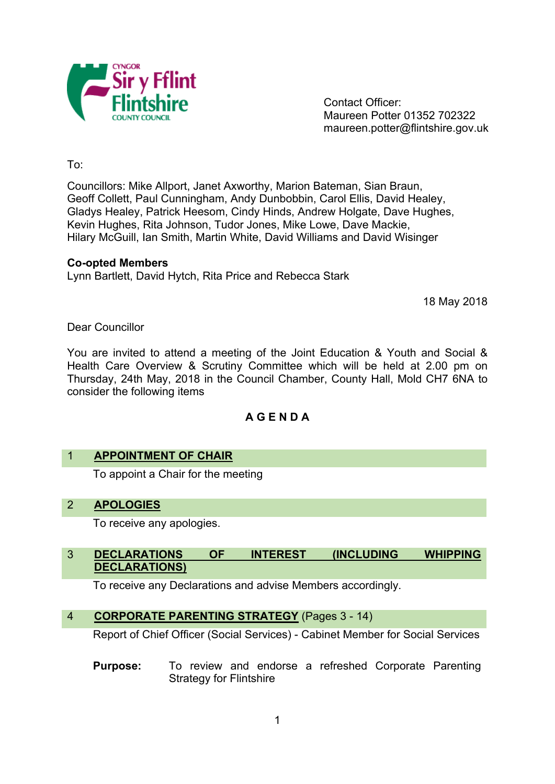

Contact Officer: Maureen Potter 01352 702322 maureen.potter@flintshire.gov.uk

To:

Councillors: Mike Allport, Janet Axworthy, Marion Bateman, Sian Braun, Geoff Collett, Paul Cunningham, Andy Dunbobbin, Carol Ellis, David Healey, Gladys Healey, Patrick Heesom, Cindy Hinds, Andrew Holgate, Dave Hughes, Kevin Hughes, Rita Johnson, Tudor Jones, Mike Lowe, Dave Mackie, Hilary McGuill, Ian Smith, Martin White, David Williams and David Wisinger

#### **Co-opted Members**

Lynn Bartlett, David Hytch, Rita Price and Rebecca Stark

18 May 2018

Dear Councillor

You are invited to attend a meeting of the Joint Education & Youth and Social & Health Care Overview & Scrutiny Committee which will be held at 2.00 pm on Thursday, 24th May, 2018 in the Council Chamber, County Hall, Mold CH7 6NA to consider the following items

# **A G E N D A**

### 1 **APPOINTMENT OF CHAIR**

To appoint a Chair for the meeting

# 2 **APOLOGIES**

To receive any apologies.

### 3 **DECLARATIONS OF INTEREST (INCLUDING WHIPPING DECLARATIONS)**

To receive any Declarations and advise Members accordingly.

### 4 **CORPORATE PARENTING STRATEGY** (Pages 3 - 14)

Report of Chief Officer (Social Services) - Cabinet Member for Social Services

**Purpose:** To review and endorse a refreshed Corporate Parenting Strategy for Flintshire